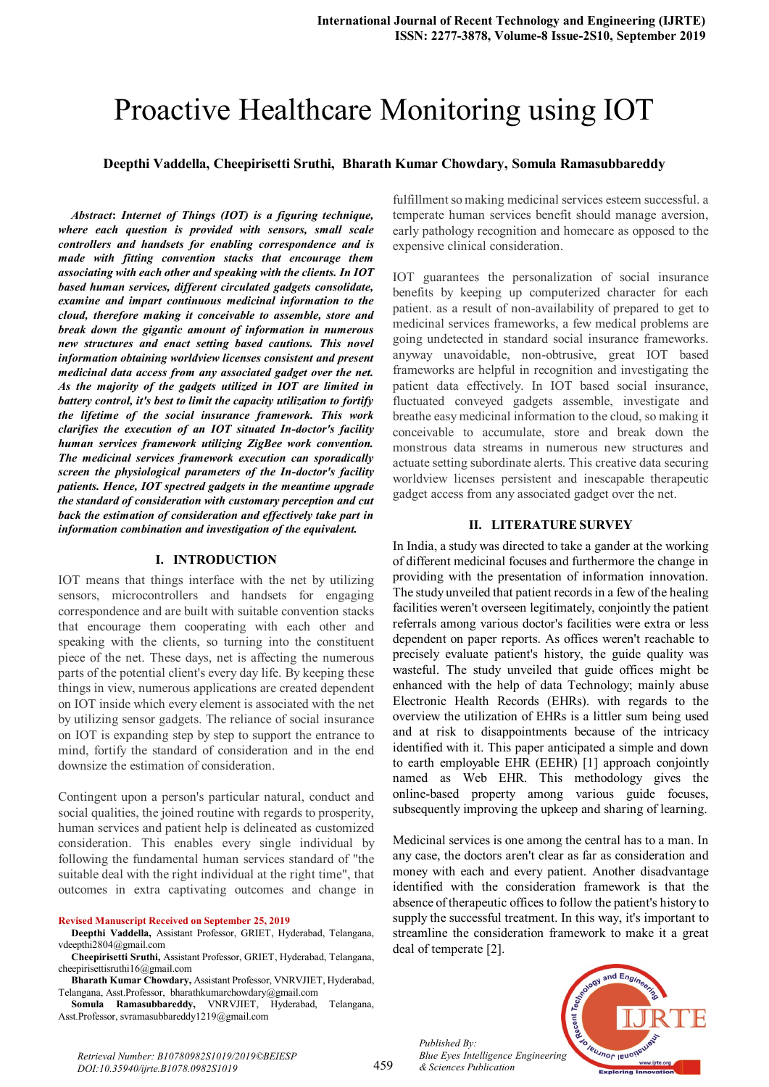# Proactive Healthcare Monitoring using IOT

#### **Deepthi Vaddella, Cheepirisetti Sruthi, Bharath Kumar Chowdary, Somula Ramasubbareddy**

*Abstract***:** *Internet of Things (IOT) is a figuring technique, where each question is provided with sensors, small scale controllers and handsets for enabling correspondence and is made with fitting convention stacks that encourage them associating with each other and speaking with the clients. In IOT based human services, different circulated gadgets consolidate, examine and impart continuous medicinal information to the cloud, therefore making it conceivable to assemble, store and break down the gigantic amount of information in numerous new structures and enact setting based cautions. This novel information obtaining worldview licenses consistent and present medicinal data access from any associated gadget over the net. As the majority of the gadgets utilized in IOT are limited in battery control, it's best to limit the capacity utilization to fortify the lifetime of the social insurance framework. This work clarifies the execution of an IOT situated In-doctor's facility human services framework utilizing ZigBee work convention. The medicinal services framework execution can sporadically screen the physiological parameters of the In-doctor's facility patients. Hence, IOT spectred gadgets in the meantime upgrade the standard of consideration with customary perception and cut back the estimation of consideration and effectively take part in information combination and investigation of the equivalent.*

#### **I. INTRODUCTION**

IOT means that things interface with the net by utilizing sensors, microcontrollers and handsets for engaging correspondence and are built with suitable convention stacks that encourage them cooperating with each other and speaking with the clients, so turning into the constituent piece of the net. These days, net is affecting the numerous parts of the potential client's every day life. By keeping these things in view, numerous applications are created dependent on IOT inside which every element is associated with the net by utilizing sensor gadgets. The reliance of social insurance on IOT is expanding step by step to support the entrance to mind, fortify the standard of consideration and in the end downsize the estimation of consideration.

Contingent upon a person's particular natural, conduct and social qualities, the joined routine with regards to prosperity, human services and patient help is delineated as customized consideration. This enables every single individual by following the fundamental human services standard of "the suitable deal with the right individual at the right time", that outcomes in extra captivating outcomes and change in

#### **Revised Manuscript Received on September 25, 2019**

- **Deepthi Vaddella,** Assistant Professor, GRIET, Hyderabad, Telangana, vdeepthi2804@gmail.com
- **Cheepirisetti Sruthi,** Assistant Professor, GRIET, Hyderabad, Telangana, cheepirisettisruthi16@gmail.com
- **Bharath Kumar Chowdary,** Assistant Professor, VNRVJIET, Hyderabad, Telangana, Asst.Professor, bharathkumarchowdary@gmail.com
- **Somula Ramasubbareddy,** VNRVJIET, Hyderabad, Telangana, Asst.Professor, svramasubbareddy1219@gmail.com

fulfillment so making medicinal services esteem successful. a temperate human services benefit should manage aversion, early pathology recognition and homecare as opposed to the expensive clinical consideration.

IOT guarantees the personalization of social insurance benefits by keeping up computerized character for each patient. as a result of non-availability of prepared to get to medicinal services frameworks, a few medical problems are going undetected in standard social insurance frameworks. anyway unavoidable, non-obtrusive, great IOT based frameworks are helpful in recognition and investigating the patient data effectively. In IOT based social insurance, fluctuated conveyed gadgets assemble, investigate and breathe easy medicinal information to the cloud, so making it conceivable to accumulate, store and break down the monstrous data streams in numerous new structures and actuate setting subordinate alerts. This creative data securing worldview licenses persistent and inescapable therapeutic gadget access from any associated gadget over the net.

#### **II. LITERATURE SURVEY**

In India, a study was directed to take a gander at the working of different medicinal focuses and furthermore the change in providing with the presentation of information innovation. The study unveiled that patient records in a few of the healing facilities weren't overseen legitimately, conjointly the patient referrals among various doctor's facilities were extra or less dependent on paper reports. As offices weren't reachable to precisely evaluate patient's history, the guide quality was wasteful. The study unveiled that guide offices might be enhanced with the help of data Technology; mainly abuse Electronic Health Records (EHRs). with regards to the overview the utilization of EHRs is a littler sum being used and at risk to disappointments because of the intricacy identified with it. This paper anticipated a simple and down to earth employable EHR (EEHR) [1] approach conjointly named as Web EHR. This methodology gives the online-based property among various guide focuses, subsequently improving the upkeep and sharing of learning.

Medicinal services is one among the central has to a man. In any case, the doctors aren't clear as far as consideration and money with each and every patient. Another disadvantage identified with the consideration framework is that the absence of therapeutic offices to follow the patient's history to supply the successful treatment. In this way, it's important to streamline the consideration framework to make it a great deal of temperate [2].

*Published By: Blue Eyes Intelligence Engineering & Sciences Publication* 



*Retrieval Number: B10780982S1019/2019©BEIESP DOI:10.35940/ijrte.B1078.0982S1019*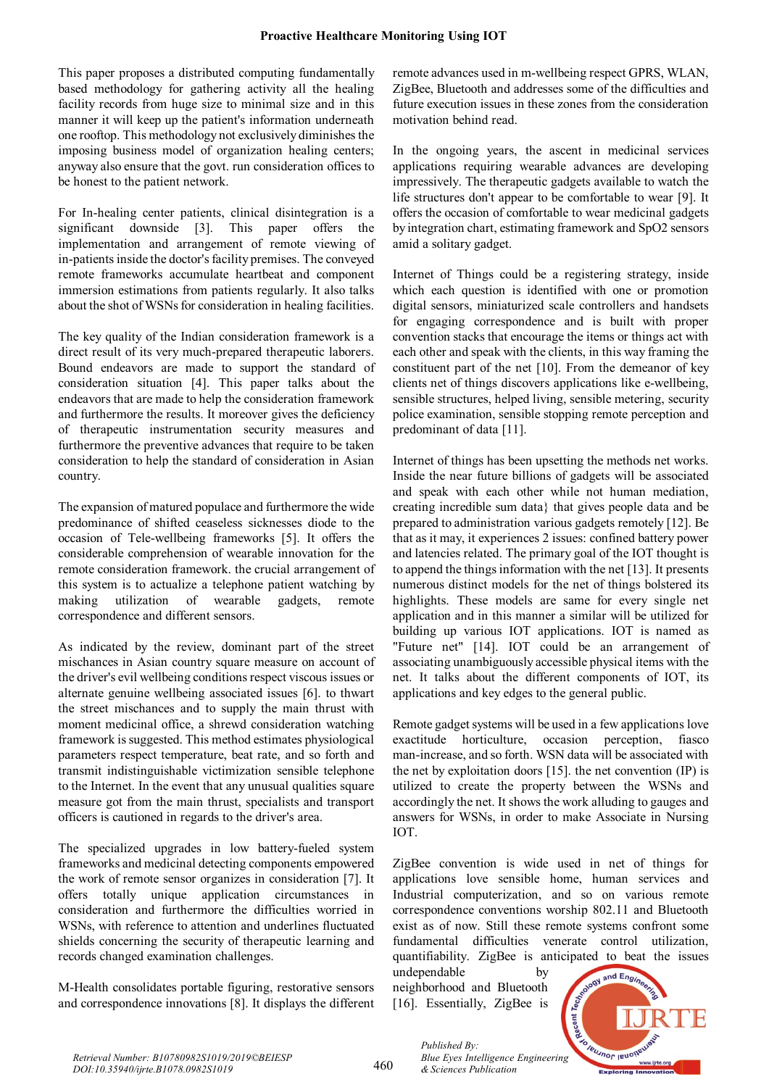This paper proposes a distributed computing fundamentally based methodology for gathering activity all the healing facility records from huge size to minimal size and in this manner it will keep up the patient's information underneath one rooftop. This methodology not exclusively diminishes the imposing business model of organization healing centers; anyway also ensure that the govt. run consideration offices to be honest to the patient network.

For In-healing center patients, clinical disintegration is a significant downside [3]. This paper offers the implementation and arrangement of remote viewing of in-patients inside the doctor's facility premises. The conveyed remote frameworks accumulate heartbeat and component immersion estimations from patients regularly. It also talks about the shot of WSNs for consideration in healing facilities.

The key quality of the Indian consideration framework is a direct result of its very much-prepared therapeutic laborers. Bound endeavors are made to support the standard of consideration situation [4]. This paper talks about the endeavors that are made to help the consideration framework and furthermore the results. It moreover gives the deficiency of therapeutic instrumentation security measures and furthermore the preventive advances that require to be taken consideration to help the standard of consideration in Asian country.

The expansion of matured populace and furthermore the wide predominance of shifted ceaseless sicknesses diode to the occasion of Tele-wellbeing frameworks [5]. It offers the considerable comprehension of wearable innovation for the remote consideration framework. the crucial arrangement of this system is to actualize a telephone patient watching by making utilization of wearable gadgets, remote correspondence and different sensors.

As indicated by the review, dominant part of the street mischances in Asian country square measure on account of the driver's evil wellbeing conditions respect viscous issues or alternate genuine wellbeing associated issues [6]. to thwart the street mischances and to supply the main thrust with moment medicinal office, a shrewd consideration watching framework issuggested. This method estimates physiological parameters respect temperature, beat rate, and so forth and transmit indistinguishable victimization sensible telephone to the Internet. In the event that any unusual qualities square measure got from the main thrust, specialists and transport officers is cautioned in regards to the driver's area.

The specialized upgrades in low battery-fueled system frameworks and medicinal detecting components empowered the work of remote sensor organizes in consideration [7]. It offers totally unique application circumstances in consideration and furthermore the difficulties worried in WSNs, with reference to attention and underlines fluctuated shields concerning the security of therapeutic learning and records changed examination challenges.

M-Health consolidates portable figuring, restorative sensors and correspondence innovations [8]. It displays the different

remote advances used in m-wellbeing respect GPRS, WLAN, ZigBee, Bluetooth and addresses some of the difficulties and future execution issues in these zones from the consideration motivation behind read.

In the ongoing years, the ascent in medicinal services applications requiring wearable advances are developing impressively. The therapeutic gadgets available to watch the life structures don't appear to be comfortable to wear [9]. It offers the occasion of comfortable to wear medicinal gadgets by integration chart, estimating framework and SpO2 sensors amid a solitary gadget.

Internet of Things could be a registering strategy, inside which each question is identified with one or promotion digital sensors, miniaturized scale controllers and handsets for engaging correspondence and is built with proper convention stacks that encourage the items or things act with each other and speak with the clients, in this way framing the constituent part of the net [10]. From the demeanor of key clients net of things discovers applications like e-wellbeing, sensible structures, helped living, sensible metering, security police examination, sensible stopping remote perception and predominant of data [11].

Internet of things has been upsetting the methods net works. Inside the near future billions of gadgets will be associated and speak with each other while not human mediation, creating incredible sum data} that gives people data and be prepared to administration various gadgets remotely [12]. Be that as it may, it experiences 2 issues: confined battery power and latencies related. The primary goal of the IOT thought is to append the things information with the net  $[13]$ . It presents numerous distinct models for the net of things bolstered its highlights. These models are same for every single net application and in this manner a similar will be utilized for building up various IOT applications. IOT is named as "Future net" [14]. IOT could be an arrangement of associating unambiguously accessible physical items with the net. It talks about the different components of IOT, its applications and key edges to the general public.

Remote gadget systems will be used in a few applications love exactitude horticulture, occasion perception, fiasco man-increase, and so forth. WSN data will be associated with the net by exploitation doors [15]. the net convention (IP) is utilized to create the property between the WSNs and accordingly the net. It shows the work alluding to gauges and answers for WSNs, in order to make Associate in Nursing IOT.

ZigBee convention is wide used in net of things for applications love sensible home, human services and Industrial computerization, and so on various remote correspondence conventions worship 802.11 and Bluetooth exist as of now. Still these remote systems confront some fundamental difficulties venerate control utilization, quantifiability. ZigBee is anticipated to beat the issues

undependable by neighborhood and Bluetooth [16]. Essentially, ZigBee is

*& Sciences Publication* 

*Published By:*



460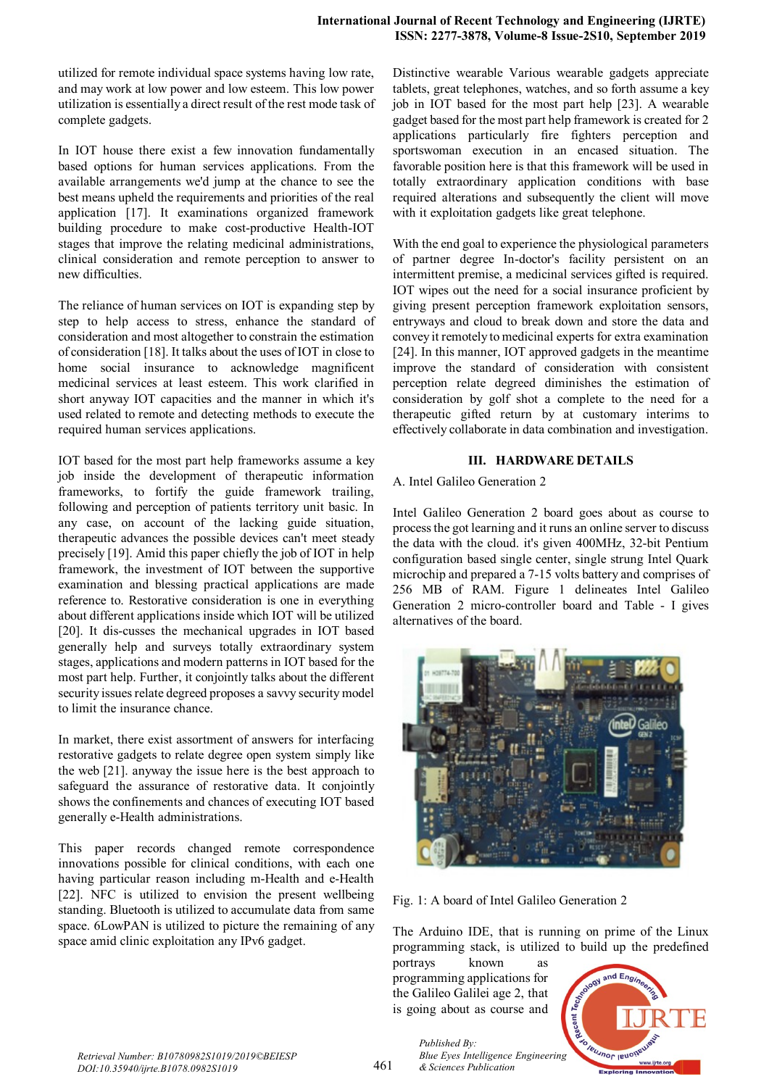utilized for remote individual space systems having low rate, and may work at low power and low esteem. This low power utilization is essentially a direct result of the rest mode task of complete gadgets.

In IOT house there exist a few innovation fundamentally based options for human services applications. From the available arrangements we'd jump at the chance to see the best means upheld the requirements and priorities of the real application [17]. It examinations organized framework building procedure to make cost-productive Health-IOT stages that improve the relating medicinal administrations, clinical consideration and remote perception to answer to new difficulties.

The reliance of human services on IOT is expanding step by step to help access to stress, enhance the standard of consideration and most altogether to constrain the estimation of consideration [18]. It talks about the uses of IOT in close to home social insurance to acknowledge magnificent medicinal services at least esteem. This work clarified in short anyway IOT capacities and the manner in which it's used related to remote and detecting methods to execute the required human services applications.

IOT based for the most part help frameworks assume a key job inside the development of therapeutic information frameworks, to fortify the guide framework trailing, following and perception of patients territory unit basic. In any case, on account of the lacking guide situation, therapeutic advances the possible devices can't meet steady precisely [19]. Amid this paper chiefly the job of IOT in help framework, the investment of IOT between the supportive examination and blessing practical applications are made reference to. Restorative consideration is one in everything about different applications inside which IOT will be utilized [20]. It dis-cusses the mechanical upgrades in IOT based generally help and surveys totally extraordinary system stages, applications and modern patterns in IOT based for the most part help. Further, it conjointly talks about the different security issues relate degreed proposes a savvy security model to limit the insurance chance.

In market, there exist assortment of answers for interfacing restorative gadgets to relate degree open system simply like the web [21]. anyway the issue here is the best approach to safeguard the assurance of restorative data. It conjointly shows the confinements and chances of executing IOT based generally e-Health administrations.

This paper records changed remote correspondence innovations possible for clinical conditions, with each one having particular reason including m-Health and e-Health [22]. NFC is utilized to envision the present wellbeing standing. Bluetooth is utilized to accumulate data from same space. 6LowPAN is utilized to picture the remaining of any space amid clinic exploitation any IPv6 gadget.

Distinctive wearable Various wearable gadgets appreciate tablets, great telephones, watches, and so forth assume a key job in IOT based for the most part help [23]. A wearable gadget based for the most part help framework is created for 2 applications particularly fire fighters perception and sportswoman execution in an encased situation. The favorable position here is that this framework will be used in totally extraordinary application conditions with base required alterations and subsequently the client will move with it exploitation gadgets like great telephone.

With the end goal to experience the physiological parameters of partner degree In-doctor's facility persistent on an intermittent premise, a medicinal services gifted is required. IOT wipes out the need for a social insurance proficient by giving present perception framework exploitation sensors, entryways and cloud to break down and store the data and convey it remotely to medicinal experts for extra examination [24]. In this manner, IOT approved gadgets in the meantime improve the standard of consideration with consistent perception relate degreed diminishes the estimation of consideration by golf shot a complete to the need for a therapeutic gifted return by at customary interims to effectively collaborate in data combination and investigation.

## **III. HARDWARE DETAILS**

A. Intel Galileo Generation 2

Intel Galileo Generation 2 board goes about as course to processthe got learning and it runs an online server to discuss the data with the cloud. it's given 400MHz, 32-bit Pentium configuration based single center, single strung Intel Quark microchip and prepared a 7-15 volts battery and comprises of 256 MB of RAM. Figure 1 delineates Intel Galileo Generation 2 micro-controller board and Table - I gives alternatives of the board.



Fig. 1: A board of Intel Galileo Generation 2

The Arduino IDE, that is running on prime of the Linux programming stack, is utilized to build up the predefined

portrays known as programming applications for the Galileo Galilei age 2, that is going about as course and



*Published By: Blue Eyes Intelligence Engineering & Sciences Publication*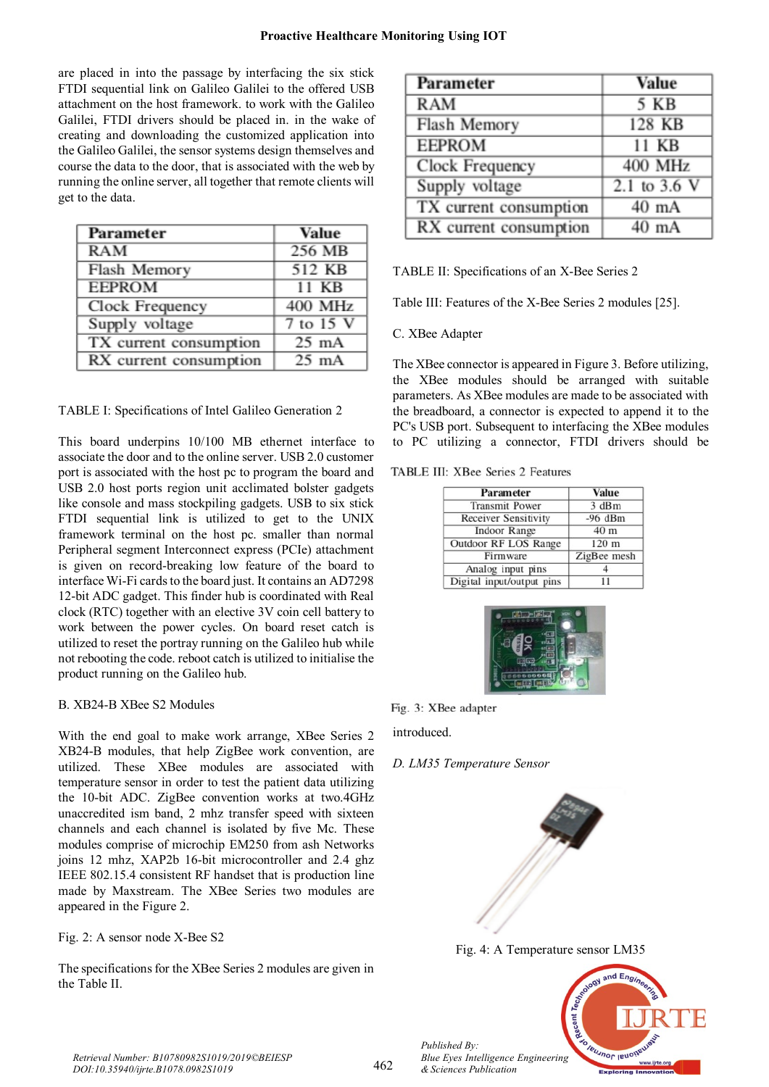#### **Proactive Healthcare Monitoring Using IOT**

are placed in into the passage by interfacing the six stick FTDI sequential link on Galileo Galilei to the offered USB attachment on the host framework. to work with the Galileo Galilei, FTDI drivers should be placed in. in the wake of creating and downloading the customized application into the Galileo Galilei, the sensor systems design themselves and course the data to the door, that is associated with the web by running the online server, all together that remote clients will get to the data.

| Parameter              | <b>Value</b>    |
|------------------------|-----------------|
| <b>RAM</b>             | 256 MB          |
| Flash Memory           | 512 KB          |
| <b>EEPROM</b>          | 11 KB           |
| Clock Frequency        | 400 MHz         |
| Supply voltage         | $7$ to $15$ V   |
| TX current consumption | $25 \text{ mA}$ |
| RX current consumption | $25 \text{ mA}$ |

TABLE I: Specifications of Intel Galileo Generation 2

This board underpins 10/100 MB ethernet interface to associate the door and to the online server. USB 2.0 customer port is associated with the host pc to program the board and USB 2.0 host ports region unit acclimated bolster gadgets like console and mass stockpiling gadgets. USB to six stick FTDI sequential link is utilized to get to the UNIX framework terminal on the host pc. smaller than normal Peripheral segment Interconnect express (PCIe) attachment is given on record-breaking low feature of the board to interface Wi-Fi cards to the board just. It contains an AD7298 12-bit ADC gadget. This finder hub is coordinated with Real clock (RTC) together with an elective 3V coin cell battery to work between the power cycles. On board reset catch is utilized to reset the portray running on the Galileo hub while not rebooting the code. reboot catch is utilized to initialise the product running on the Galileo hub.

#### B. XB24-B XBee S2 Modules

With the end goal to make work arrange, XBee Series 2 XB24-B modules, that help ZigBee work convention, are utilized. These XBee modules are associated with temperature sensor in order to test the patient data utilizing the 10-bit ADC. ZigBee convention works at two.4GHz unaccredited ism band, 2 mhz transfer speed with sixteen channels and each channel is isolated by five Mc. These modules comprise of microchip EM250 from ash Networks joins 12 mhz, XAP2b 16-bit microcontroller and 2.4 ghz IEEE 802.15.4 consistent RF handset that is production line made by Maxstream. The XBee Series two modules are appeared in the Figure 2.

Fig. 2: A sensor node X-Bee S2

The specifications for the XBee Series 2 modules are given in the Table II.

| Parameter              | <b>Value</b>    |
|------------------------|-----------------|
| <b>RAM</b>             | 5 KB            |
| Flash Memory           | 128 KB          |
| <b>EEPROM</b>          | 11 KB           |
| Clock Frequency        | <b>400 MHz</b>  |
| Supply voltage         | 2.1 to 3.6 V    |
| TX current consumption | $40 \text{ mA}$ |
| RX current consumption | 40 mA           |

TABLE II: Specifications of an X-Bee Series 2

Table III: Features of the X-Bee Series 2 modules [25].

C. XBee Adapter

The XBee connector is appeared in Figure 3. Before utilizing, the XBee modules should be arranged with suitable parameters. As XBee modules are made to be associated with the breadboard, a connector is expected to append it to the PC's USB port. Subsequent to interfacing the XBee modules to PC utilizing a connector, FTDI drivers should be

#### TABLE III: XBee Series 2 Features

| Parameter                   | <b>Value</b>                        |  |
|-----------------------------|-------------------------------------|--|
| <b>Transmit Power</b>       | 3 dBm                               |  |
| <b>Receiver Sensitivity</b> | $-96$ dBm                           |  |
| <b>Indoor Range</b>         | 40 <sub>m</sub><br>120 <sub>m</sub> |  |
| Outdoor RF LOS Range        |                                     |  |
| Firmware                    | ZigBee mesh                         |  |
| Analog input pins           |                                     |  |
| Digital input/output pins   | 11                                  |  |



Fig. 3: XBee adapter

introduced.

# *D. LM35 Temperature Sensor*



Fig. 4: A Temperature sensor LM35



*Retrieval Number: B10780982S1019/2019©BEIESP DOI:10.35940/ijrte.B1078.0982S1019*

*Published By: Blue Eyes Intelligence Engineering & Sciences Publication*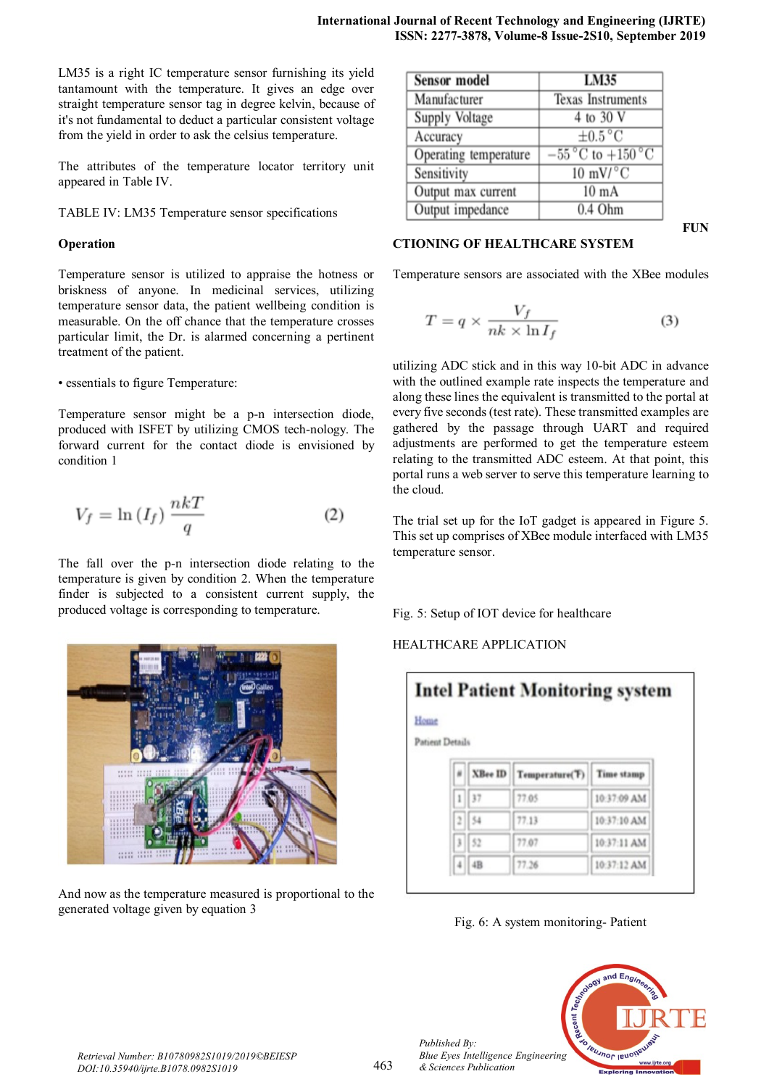LM35 is a right IC temperature sensor furnishing its yield tantamount with the temperature. It gives an edge over straight temperature sensor tag in degree kelvin, because of it's not fundamental to deduct a particular consistent voltage from the yield in order to ask the celsius temperature.

The attributes of the temperature locator territory unit appeared in Table IV.

TABLE IV: LM35 Temperature sensor specifications

## **Operation**

Temperature sensor is utilized to appraise the hotness or briskness of anyone. In medicinal services, utilizing temperature sensor data, the patient wellbeing condition is measurable. On the off chance that the temperature crosses particular limit, the Dr. is alarmed concerning a pertinent treatment of the patient.

• essentials to figure Temperature:

Temperature sensor might be a p-n intersection diode, produced with ISFET by utilizing CMOS tech-nology. The forward current for the contact diode is envisioned by condition 1

$$
V_f = \ln(I_f) \frac{nkT}{q} \tag{2}
$$

The fall over the p-n intersection diode relating to the temperature is given by condition 2. When the temperature finder is subjected to a consistent current supply, the produced voltage is corresponding to temperature.



And now as the temperature measured is proportional to the generated voltage given by equation 3

| <b>Sensor</b> model   | LM35                                                |
|-----------------------|-----------------------------------------------------|
| Manufacturer          | <b>Texas Instruments</b>                            |
| Supply Voltage        | 4 to 30 V                                           |
| Accuracy              | $\pm 0.5^{\circ}$ C                                 |
| Operating temperature | $-55\,^{\circ}\text{C}$ to $+150\,^{\circ}\text{C}$ |
| Sensitivity           | $10 \text{ mV}$ <sup>o</sup> C                      |
| Output max current    | $10 \text{ mA}$                                     |
| Output impedance      | $0.4$ Ohm                                           |

# **CTIONING OF HEALTHCARE SYSTEM**

**FUN**

Temperature sensors are associated with the XBee modules

$$
T = q \times \frac{V_f}{nk \times \ln I_f} \tag{3}
$$

utilizing ADC stick and in this way 10-bit ADC in advance with the outlined example rate inspects the temperature and along these lines the equivalent is transmitted to the portal at every five seconds (test rate). These transmitted examples are gathered by the passage through UART and required adjustments are performed to get the temperature esteem relating to the transmitted ADC esteem. At that point, this portal runs a web server to serve this temperature learning to the cloud.

The trial set up for the IoT gadget is appeared in Figure 5. This set up comprises of XBee module interfaced with LM35 temperature sensor.

Fig. 5: Setup of IOT device for healthcare

HEALTHCARE APPLICATION

| <b>Intel Patient Monitoring system</b> |                |                |             |  |
|----------------------------------------|----------------|----------------|-------------|--|
| Patient Details                        |                |                |             |  |
|                                        | <b>XBee ID</b> | Temperature(T) | Time stamp  |  |
|                                        | $1$   37       | 77.05          | 10:37:09 AM |  |
|                                        | $2$   54       | 77.13          | 10:37:10 AM |  |
|                                        | 3   52         | 77.07          | 10:37:11 AM |  |
|                                        | $4$ 4B         | 77.26          | 10:37:12 AM |  |





*Published By:*

*& Sciences Publication*